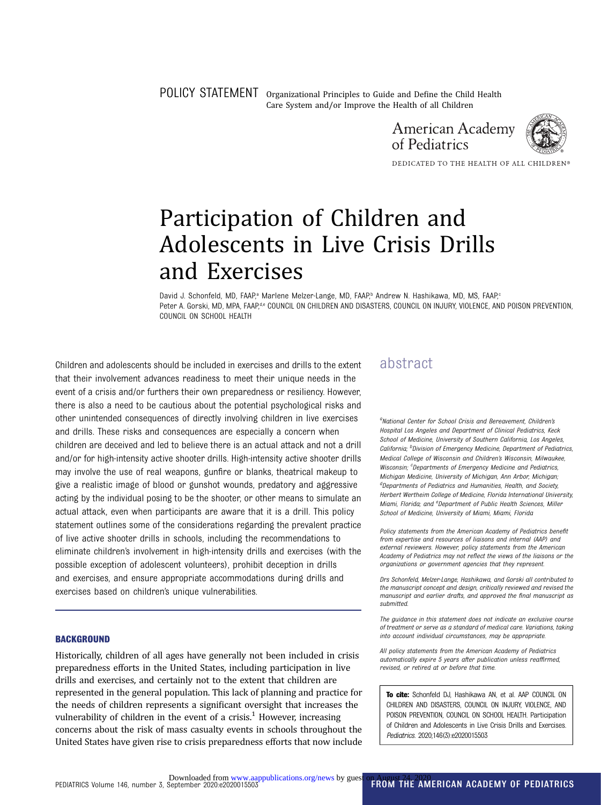POLICY STATEMENT Organizational Principles to Guide and Define the Child Health Care System and/or Improve the Health of all Children





DEDICATED TO THE HEALTH OF ALL CHILDREN®

# Participation of Children and Adolescents in Live Crisis Drills and Exercises

David J. Schonfeld, MD, FAAP,<sup>a</sup> Marlene Melzer-Lange, MD, FAAP,<sup>b</sup> Andrew N. Hashikawa, MD, MS, FAAP,<sup>c</sup> Peter A. Gorski, MD, MPA, FAAP.<sup>d,e</sup> COUNCIL ON CHILDREN AND DISASTERS, COUNCIL ON INJURY, VIOLENCE, AND POISON PREVENTION, COUNCIL ON SCHOOL HEALTH

Children and adolescents should be included in exercises and drills to the extent  $a$  abstract that their involvement advances readiness to meet their unique needs in the event of a crisis and/or furthers their own preparedness or resiliency. However, there is also a need to be cautious about the potential psychological risks and other unintended consequences of directly involving children in live exercises and drills. These risks and consequences are especially a concern when children are deceived and led to believe there is an actual attack and not a drill and/or for high-intensity active shooter drills. High-intensity active shooter drills may involve the use of real weapons, gunfire or blanks, theatrical makeup to give a realistic image of blood or gunshot wounds, predatory and aggressive acting by the individual posing to be the shooter, or other means to simulate an actual attack, even when participants are aware that it is a drill. This policy statement outlines some of the considerations regarding the prevalent practice of live active shooter drills in schools, including the recommendations to eliminate children's involvement in high-intensity drills and exercises (with the possible exception of adolescent volunteers), prohibit deception in drills and exercises, and ensure appropriate accommodations during drills and exercises based on children's unique vulnerabilities.

#### **BACKGROUND**

Historically, children of all ages have generally not been included in crisis preparedness efforts in the United States, including participation in live drills and exercises, and certainly not to the extent that children are represented in the general population. This lack of planning and practice for the needs of children represents a significant oversight that increases the vulnerability of children in the event of a crisis.<sup>1</sup> However, increasing concerns about the risk of mass casualty events in schools throughout the United States have given rise to crisis preparedness efforts that now include

<sup>a</sup>National Center for School Crisis and Bereavement, Children's Hospital Los Angeles and Department of Clinical Pediatrics, Keck School of Medicine, University of Southern California, Los Angeles, California; <sup>b</sup>Division of Emergency Medicine, Department of Pediatrics, Medical College of Wisconsin and Children's Wisconsin, Milwaukee, Wisconsin; <sup>c</sup>Departments of Emergency Medicine and Pediatrics, Michigan Medicine, University of Michigan, Ann Arbor, Michigan; <sup>d</sup>Departments of Pediatrics and Humanities, Health, and Society, Herbert Wertheim College of Medicine, Florida International University, Miami, Florida; and <sup>e</sup>Department of Public Health Sciences, Miller School of Medicine, University of Miami, Miami, Florida

Policy statements from the American Academy of Pediatrics benefit from expertise and resources of liaisons and internal (AAP) and external reviewers. However, policy statements from the American Academy of Pediatrics may not reflect the views of the liaisons or the organizations or government agencies that they represent.

Drs Schonfeld, Melzer-Lange, Hashikawa, and Gorski all contributed to the manuscript concept and design, critically reviewed and revised the manuscript and earlier drafts, and approved the final manuscript as submitted.

The guidance in this statement does not indicate an exclusive course of treatment or serve as a standard of medical care. Variations, taking into account individual circumstances, may be appropriate.

All policy statements from the American Academy of Pediatrics automatically expire 5 years after publication unless reaffirmed, revised, or retired at or before that time.

To cite: Schonfeld DJ, Hashikawa AN, et al. AAP COUNCIL ON CHILDREN AND DISASTERS, COUNCIL ON INJURY, VIOLENCE, AND POISON PREVENTION, COUNCIL ON SCHOOL HEALTH. Participation of Children and Adolescents in Live Crisis Drills and Exercises. Pediatrics. 2020;146(3):e2020015503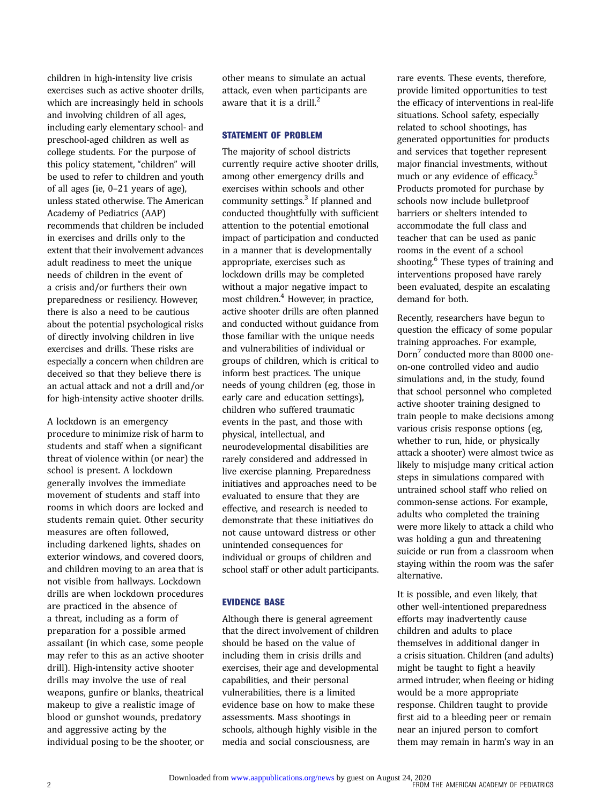children in high-intensity live crisis exercises such as active shooter drills, which are increasingly held in schools and involving children of all ages, including early elementary school- and preschool-aged children as well as college students. For the purpose of this policy statement, "children" will be used to refer to children and youth of all ages (ie, 0–21 years of age), unless stated otherwise. The American Academy of Pediatrics (AAP) recommends that children be included in exercises and drills only to the extent that their involvement advances adult readiness to meet the unique needs of children in the event of a crisis and/or furthers their own preparedness or resiliency. However, there is also a need to be cautious about the potential psychological risks of directly involving children in live exercises and drills. These risks are especially a concern when children are deceived so that they believe there is an actual attack and not a drill and/or for high-intensity active shooter drills.

A lockdown is an emergency procedure to minimize risk of harm to students and staff when a significant threat of violence within (or near) the school is present. A lockdown generally involves the immediate movement of students and staff into rooms in which doors are locked and students remain quiet. Other security measures are often followed, including darkened lights, shades on exterior windows, and covered doors, and children moving to an area that is not visible from hallways. Lockdown drills are when lockdown procedures are practiced in the absence of a threat, including as a form of preparation for a possible armed assailant (in which case, some people may refer to this as an active shooter drill). High-intensity active shooter drills may involve the use of real weapons, gunfire or blanks, theatrical makeup to give a realistic image of blood or gunshot wounds, predatory and aggressive acting by the individual posing to be the shooter, or

other means to simulate an actual attack, even when participants are aware that it is a drill. $<sup>2</sup>$  $<sup>2</sup>$  $<sup>2</sup>$ </sup>

### STATEMENT OF PROBLEM

The majority of school districts currently require active shooter drills, among other emergency drills and exercises within schools and other community settings. $3$  If planned and conducted thoughtfully with sufficient attention to the potential emotional impact of participation and conducted in a manner that is developmentally appropriate, exercises such as lockdown drills may be completed without a major negative impact to most children.<sup>4</sup> However, in practice, active shooter drills are often planned and conducted without guidance from those familiar with the unique needs and vulnerabilities of individual or groups of children, which is critical to inform best practices. The unique needs of young children (eg, those in early care and education settings), children who suffered traumatic events in the past, and those with physical, intellectual, and neurodevelopmental disabilities are rarely considered and addressed in live exercise planning. Preparedness initiatives and approaches need to be evaluated to ensure that they are effective, and research is needed to demonstrate that these initiatives do not cause untoward distress or other unintended consequences for individual or groups of children and school staff or other adult participants.

#### EVIDENCE BASE

Although there is general agreement that the direct involvement of children should be based on the value of including them in crisis drills and exercises, their age and developmental capabilities, and their personal vulnerabilities, there is a limited evidence base on how to make these assessments. Mass shootings in schools, although highly visible in the media and social consciousness, are

rare events. These events, therefore, provide limited opportunities to test the efficacy of interventions in real-life situations. School safety, especially related to school shootings, has generated opportunities for products and services that together represent major financial investments, without much or any evidence of efficacy.<sup>[5](#page-6-0)</sup> Products promoted for purchase by schools now include bulletproof barriers or shelters intended to accommodate the full class and teacher that can be used as panic rooms in the event of a school shooting.<sup>6</sup> These types of training and interventions proposed have rarely been evaluated, despite an escalating demand for both.

Recently, researchers have begun to question the efficacy of some popular training approaches. For example, Dor[n7](#page-6-0) conducted more than 8000 oneon-one controlled video and audio simulations and, in the study, found that school personnel who completed active shooter training designed to train people to make decisions among various crisis response options (eg, whether to run, hide, or physically attack a shooter) were almost twice as likely to misjudge many critical action steps in simulations compared with untrained school staff who relied on common-sense actions. For example, adults who completed the training were more likely to attack a child who was holding a gun and threatening suicide or run from a classroom when staying within the room was the safer alternative.

It is possible, and even likely, that other well-intentioned preparedness efforts may inadvertently cause children and adults to place themselves in additional danger in a crisis situation. Children (and adults) might be taught to fight a heavily armed intruder, when fleeing or hiding would be a more appropriate response. Children taught to provide first aid to a bleeding peer or remain near an injured person to comfort them may remain in harm's way in an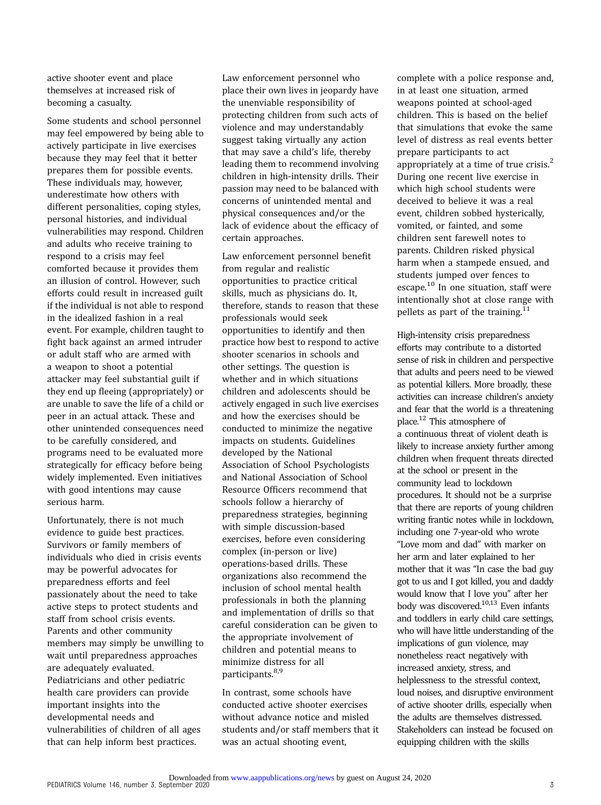active shooter event and place themselves at increased risk of becoming a casualty.

Some students and school personnel may feel empowered by being able to actively participate in live exercises because they may feel that it better prepares them for possible events. These individuals may, however, underestimate how others with different personalities, coping styles, personal histories, and individual vulnerabilities may respond. Children and adults who receive training to respond to a crisis may feel comforted because it provides them an illusion of control. However, such efforts could result in increased guilt if the individual is not able to respond in the idealized fashion in a real event. For example, children taught to fight back against an armed intruder or adult staff who are armed with a weapon to shoot a potential attacker may feel substantial guilt if they end up fleeing (appropriately) or are unable to save the life of a child or peer in an actual attack. These and other unintended consequences need to be carefully considered, and programs need to be evaluated more strategically for efficacy before being widely implemented. Even initiatives with good intentions may cause serious harm.

Unfortunately, there is not much evidence to guide best practices. Survivors or family members of individuals who died in crisis events may be powerful advocates for preparedness efforts and feel passionately about the need to take active steps to protect students and staff from school crisis events. Parents and other community members may simply be unwilling to wait until preparedness approaches are adequately evaluated. Pediatricians and other pediatric health care providers can provide important insights into the developmental needs and vulnerabilities of children of all ages that can help inform best practices.

Law enforcement personnel who place their own lives in jeopardy have the unenviable responsibility of protecting children from such acts of violence and may understandably suggest taking virtually any action that may save a child's life, thereby leading them to recommend involving children in high-intensity drills. Their passion may need to be balanced with concerns of unintended mental and physical consequences and/or the lack of evidence about the efficacy of certain approaches.

Law enforcement personnel benefit from regular and realistic opportunities to practice critical skills, much as physicians do. It, therefore, stands to reason that these professionals would seek opportunities to identify and then practice how best to respond to active shooter scenarios in schools and other settings. The question is whether and in which situations children and adolescents should be actively engaged in such live exercises and how the exercises should be conducted to minimize the negative impacts on students. Guidelines developed by the National Association of School Psychologists and National Association of School Resource Officers recommend that schools follow a hierarchy of preparedness strategies, beginning with simple discussion-based exercises, before even considering complex (in-person or live) operations-based drills. These organizations also recommend the inclusion of school mental health professionals in both the planning and implementation of drills so that careful consideration can be given to the appropriate involvement of children and potential means to minimize distress for all participants.<sup>[8](#page-6-0),[9](#page-6-0)</sup>

In contrast, some schools have conducted active shooter exercises without advance notice and misled students and/or staff members that it was an actual shooting event,

complete with a police response and, in at least one situation, armed weapons pointed at school-aged children. This is based on the belief that simulations that evoke the same level of distress as real events better prepare participants to act appropriately at a time of true crisis. $<sup>2</sup>$  $<sup>2</sup>$  $<sup>2</sup>$ </sup> During one recent live exercise in which high school students were deceived to believe it was a real event, children sobbed hysterically, vomited, or fainted, and some children sent farewell notes to parents. Children risked physical harm when a stampede ensued, and students jumped over fences to escape.<sup>[10](#page-6-0)</sup> In one situation, staff were intentionally shot at close range with pellets as part of the training. $11$ 

High-intensity crisis preparedness efforts may contribute to a distorted sense of risk in children and perspective that adults and peers need to be viewed as potential killers. More broadly, these activities can increase children's anxiety and fear that the world is a threatening place.[12](#page-6-0) This atmosphere of a continuous threat of violent death is likely to increase anxiety further among children when frequent threats directed at the school or present in the community lead to lockdown procedures. It should not be a surprise that there are reports of young children writing frantic notes while in lockdown, including one 7-year-old who wrote "Love mom and dad" with marker on her arm and later explained to her mother that it was "In case the bad guy got to us and I got killed, you and daddy would know that I love you" after her body was discovered.[10,13](#page-6-0) Even infants and toddlers in early child care settings, who will have little understanding of the implications of gun violence, may nonetheless react negatively with increased anxiety, stress, and helplessness to the stressful context, loud noises, and disruptive environment of active shooter drills, especially when the adults are themselves distressed. Stakeholders can instead be focused on equipping children with the skills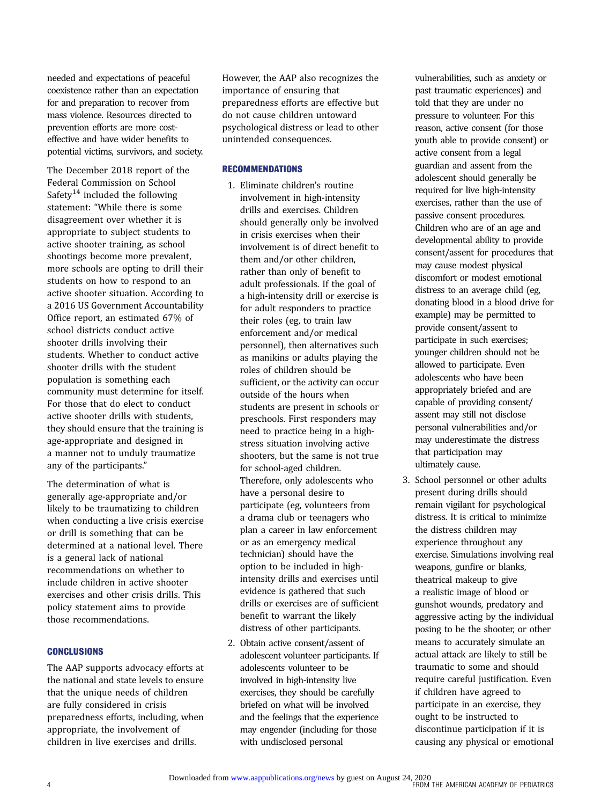needed and expectations of peaceful coexistence rather than an expectation for and preparation to recover from mass violence. Resources directed to prevention efforts are more costeffective and have wider benefits to potential victims, survivors, and society.

The December 2018 report of the Federal Commission on School Safety<sup>14</sup> included the following statement: "While there is some disagreement over whether it is appropriate to subject students to active shooter training, as school shootings become more prevalent, more schools are opting to drill their students on how to respond to an active shooter situation. According to a 2016 US Government Accountability Office report, an estimated 67% of school districts conduct active shooter drills involving their students. Whether to conduct active shooter drills with the student population is something each community must determine for itself. For those that do elect to conduct active shooter drills with students, they should ensure that the training is age-appropriate and designed in a manner not to unduly traumatize any of the participants."

The determination of what is generally age-appropriate and/or likely to be traumatizing to children when conducting a live crisis exercise or drill is something that can be determined at a national level. There is a general lack of national recommendations on whether to include children in active shooter exercises and other crisis drills. This policy statement aims to provide those recommendations.

### **CONCLUSIONS**

The AAP supports advocacy efforts at the national and state levels to ensure that the unique needs of children are fully considered in crisis preparedness efforts, including, when appropriate, the involvement of children in live exercises and drills.

However, the AAP also recognizes the importance of ensuring that preparedness efforts are effective but do not cause children untoward psychological distress or lead to other unintended consequences.

#### RECOMMENDATIONS

- 1. Eliminate children's routine involvement in high-intensity drills and exercises. Children should generally only be involved in crisis exercises when their involvement is of direct benefit to them and/or other children, rather than only of benefit to adult professionals. If the goal of a high-intensity drill or exercise is for adult responders to practice their roles (eg, to train law enforcement and/or medical personnel), then alternatives such as manikins or adults playing the roles of children should be sufficient, or the activity can occur outside of the hours when students are present in schools or preschools. First responders may need to practice being in a highstress situation involving active shooters, but the same is not true for school-aged children. Therefore, only adolescents who have a personal desire to participate (eg, volunteers from a drama club or teenagers who plan a career in law enforcement or as an emergency medical technician) should have the option to be included in highintensity drills and exercises until evidence is gathered that such drills or exercises are of sufficient benefit to warrant the likely distress of other participants.
- 2. Obtain active consent/assent of adolescent volunteer participants. If adolescents volunteer to be involved in high-intensity live exercises, they should be carefully briefed on what will be involved and the feelings that the experience may engender (including for those with undisclosed personal

vulnerabilities, such as anxiety or past traumatic experiences) and told that they are under no pressure to volunteer. For this reason, active consent (for those youth able to provide consent) or active consent from a legal guardian and assent from the adolescent should generally be required for live high-intensity exercises, rather than the use of passive consent procedures. Children who are of an age and developmental ability to provide consent/assent for procedures that may cause modest physical discomfort or modest emotional distress to an average child (eg, donating blood in a blood drive for example) may be permitted to provide consent/assent to participate in such exercises; younger children should not be allowed to participate. Even adolescents who have been appropriately briefed and are capable of providing consent/ assent may still not disclose personal vulnerabilities and/or may underestimate the distress that participation may ultimately cause.

3. School personnel or other adults present during drills should remain vigilant for psychological distress. It is critical to minimize the distress children may experience throughout any exercise. Simulations involving real weapons, gunfire or blanks, theatrical makeup to give a realistic image of blood or gunshot wounds, predatory and aggressive acting by the individual posing to be the shooter, or other means to accurately simulate an actual attack are likely to still be traumatic to some and should require careful justification. Even if children have agreed to participate in an exercise, they ought to be instructed to discontinue participation if it is causing any physical or emotional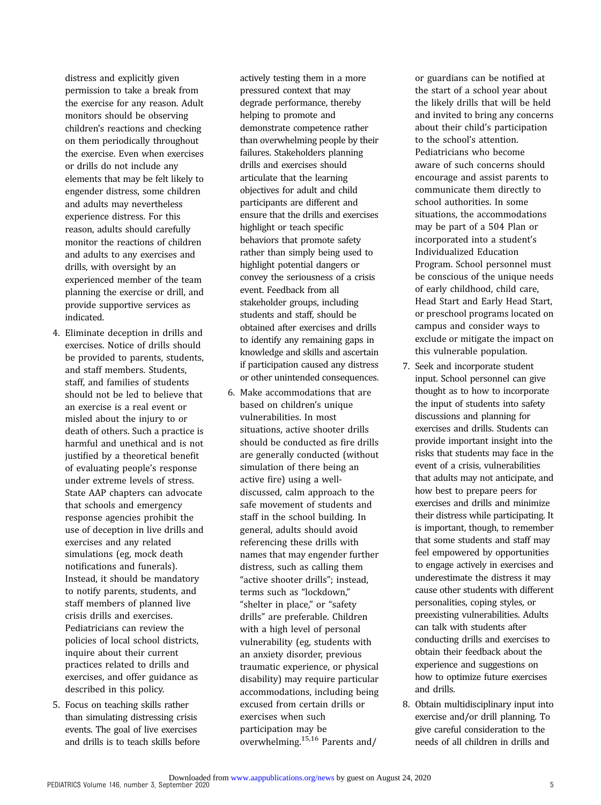distress and explicitly given permission to take a break from the exercise for any reason. Adult monitors should be observing children's reactions and checking on them periodically throughout the exercise. Even when exercises or drills do not include any elements that may be felt likely to engender distress, some children and adults may nevertheless experience distress. For this reason, adults should carefully monitor the reactions of children and adults to any exercises and drills, with oversight by an experienced member of the team planning the exercise or drill, and provide supportive services as indicated.

- 4. Eliminate deception in drills and exercises. Notice of drills should be provided to parents, students, and staff members. Students, staff, and families of students should not be led to believe that an exercise is a real event or misled about the injury to or death of others. Such a practice is harmful and unethical and is not justified by a theoretical benefit of evaluating people's response under extreme levels of stress. State AAP chapters can advocate that schools and emergency response agencies prohibit the use of deception in live drills and exercises and any related simulations (eg, mock death notifications and funerals). Instead, it should be mandatory to notify parents, students, and staff members of planned live crisis drills and exercises. Pediatricians can review the policies of local school districts, inquire about their current practices related to drills and exercises, and offer guidance as described in this policy.
- 5. Focus on teaching skills rather than simulating distressing crisis events. The goal of live exercises and drills is to teach skills before

actively testing them in a more pressured context that may degrade performance, thereby helping to promote and demonstrate competence rather than overwhelming people by their failures. Stakeholders planning drills and exercises should articulate that the learning objectives for adult and child participants are different and ensure that the drills and exercises highlight or teach specific behaviors that promote safety rather than simply being used to highlight potential dangers or convey the seriousness of a crisis event. Feedback from all stakeholder groups, including students and staff, should be obtained after exercises and drills to identify any remaining gaps in knowledge and skills and ascertain if participation caused any distress or other unintended consequences.

6. Make accommodations that are based on children's unique vulnerabilities. In most situations, active shooter drills should be conducted as fire drills are generally conducted (without simulation of there being an active fire) using a welldiscussed, calm approach to the safe movement of students and staff in the school building. In general, adults should avoid referencing these drills with names that may engender further distress, such as calling them "active shooter drills"; instead, terms such as "lockdown," "shelter in place," or "safety drills" are preferable. Children with a high level of personal vulnerability (eg, students with an anxiety disorder, previous traumatic experience, or physical disability) may require particular accommodations, including being excused from certain drills or exercises when such participation may be overwhelming.[15,16](#page-6-0) Parents and/

or guardians can be notified at the start of a school year about the likely drills that will be held and invited to bring any concerns about their child's participation to the school's attention. Pediatricians who become aware of such concerns should encourage and assist parents to communicate them directly to school authorities. In some situations, the accommodations may be part of a 504 Plan or incorporated into a student's Individualized Education Program. School personnel must be conscious of the unique needs of early childhood, child care, Head Start and Early Head Start, or preschool programs located on campus and consider ways to exclude or mitigate the impact on this vulnerable population.

- 7. Seek and incorporate student input. School personnel can give thought as to how to incorporate the input of students into safety discussions and planning for exercises and drills. Students can provide important insight into the risks that students may face in the event of a crisis, vulnerabilities that adults may not anticipate, and how best to prepare peers for exercises and drills and minimize their distress while participating. It is important, though, to remember that some students and staff may feel empowered by opportunities to engage actively in exercises and underestimate the distress it may cause other students with different personalities, coping styles, or preexisting vulnerabilities. Adults can talk with students after conducting drills and exercises to obtain their feedback about the experience and suggestions on how to optimize future exercises and drills.
- 8. Obtain multidisciplinary input into exercise and/or drill planning. To give careful consideration to the needs of all children in drills and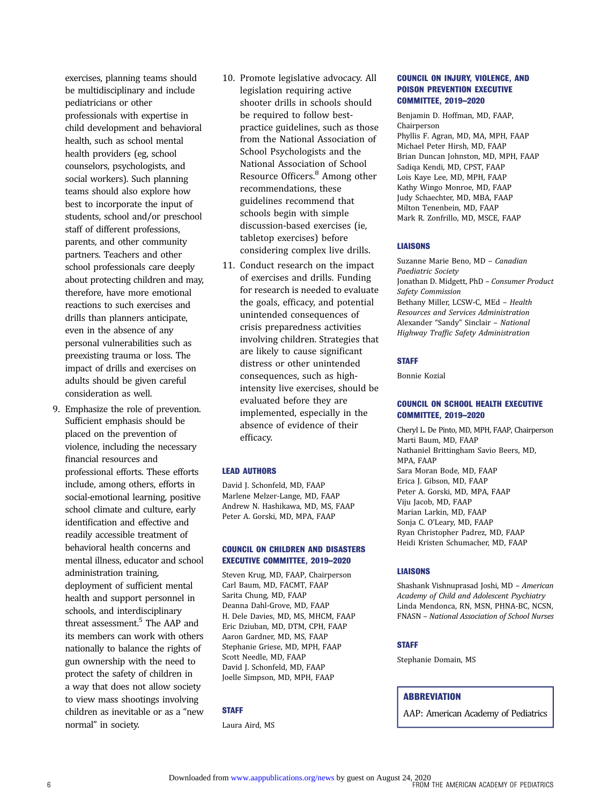exercises, planning teams should be multidisciplinary and include pediatricians or other professionals with expertise in child development and behavioral health, such as school mental health providers (eg, school counselors, psychologists, and social workers). Such planning teams should also explore how best to incorporate the input of students, school and/or preschool staff of different professions, parents, and other community partners. Teachers and other school professionals care deeply about protecting children and may, therefore, have more emotional reactions to such exercises and drills than planners anticipate, even in the absence of any personal vulnerabilities such as preexisting trauma or loss. The impact of drills and exercises on adults should be given careful consideration as well.

9. Emphasize the role of prevention. Sufficient emphasis should be placed on the prevention of violence, including the necessary financial resources and professional efforts. These efforts include, among others, efforts in social-emotional learning, positive school climate and culture, early identification and effective and readily accessible treatment of behavioral health concerns and mental illness, educator and school administration training, deployment of sufficient mental health and support personnel in schools, and interdisciplinary threat assessment.<sup>5</sup> The AAP and its members can work with others nationally to balance the rights of gun ownership with the need to protect the safety of children in a way that does not allow society to view mass shootings involving children as inevitable or as a "new normal" in society.

- 10. Promote legislative advocacy. All legislation requiring active shooter drills in schools should be required to follow bestpractice guidelines, such as those from the National Association of School Psychologists and the National Association of School Resource Officers.<sup>[8](#page-6-0)</sup> Among other recommendations, these guidelines recommend that schools begin with simple discussion-based exercises (ie, tabletop exercises) before considering complex live drills.
- 11. Conduct research on the impact of exercises and drills. Funding for research is needed to evaluate the goals, efficacy, and potential unintended consequences of crisis preparedness activities involving children. Strategies that are likely to cause significant distress or other unintended consequences, such as highintensity live exercises, should be evaluated before they are implemented, especially in the absence of evidence of their efficacy.

#### LEAD AUTHORS

David J. Schonfeld, MD, FAAP Marlene Melzer-Lange, MD, FAAP Andrew N. Hashikawa, MD, MS, FAAP Peter A. Gorski, MD, MPA, FAAP

#### COUNCIL ON CHILDREN AND DISASTERS EXECUTIVE COMMITTEE, 2019–2020

Steven Krug, MD, FAAP, Chairperson Carl Baum, MD, FACMT, FAAP Sarita Chung, MD, FAAP Deanna Dahl-Grove, MD, FAAP H. Dele Davies, MD, MS, MHCM, FAAP Eric Dziuban, MD, DTM, CPH, FAAP Aaron Gardner, MD, MS, FAAP Stephanie Griese, MD, MPH, FAAP Scott Needle, MD, FAAP David J. Schonfeld, MD, FAAP Joelle Simpson, MD, MPH, FAAP

#### **STAFF**

Laura Aird, MS

#### COUNCIL ON INJURY, VIOLENCE, AND POISON PREVENTION EXECUTIVE COMMITTEE, 2019–2020

Benjamin D. Hoffman, MD, FAAP, Chairperson Phyllis F. Agran, MD, MA, MPH, FAAP Michael Peter Hirsh, MD, FAAP Brian Duncan Johnston, MD, MPH, FAAP Sadiqa Kendi, MD, CPST, FAAP Lois Kaye Lee, MD, MPH, FAAP Kathy Wingo Monroe, MD, FAAP Judy Schaechter, MD, MBA, FAAP Milton Tenenbein, MD, FAAP Mark R. Zonfrillo, MD, MSCE, FAAP

#### LIAISONS

Suzanne Marie Beno, MD – Canadian Paediatric Society Jonathan D. Midgett, PhD – Consumer Product Safety Commission Bethany Miller, LCSW-C, MEd – Health Resources and Services Administration Alexander "Sandy" Sinclair – National Highway Traffic Safety Administration

#### **STAFF**

Bonnie Kozial

#### COUNCIL ON SCHOOL HEALTH EXECUTIVE COMMITTEE, 2019–2020

Cheryl L. De Pinto, MD, MPH, FAAP, Chairperson Marti Baum, MD, FAAP Nathaniel Brittingham Savio Beers, MD, MPA, FAAP Sara Moran Bode, MD, FAAP Erica J. Gibson, MD, FAAP Peter A. Gorski, MD, MPA, FAAP Viju Jacob, MD, FAAP Marian Larkin, MD, FAAP Sonja C. O'Leary, MD, FAAP Ryan Christopher Padrez, MD, FAAP Heidi Kristen Schumacher, MD, FAAP

#### LIAISONS

Shashank Vishnuprasad Joshi, MD – American Academy of Child and Adolescent Psychiatry Linda Mendonca, RN, MSN, PHNA-BC, NCSN, FNASN – National Association of School Nurses

#### **STAFF**

Stephanie Domain, MS

## **ABBREVIATION**

AAP: American Academy of Pediatrics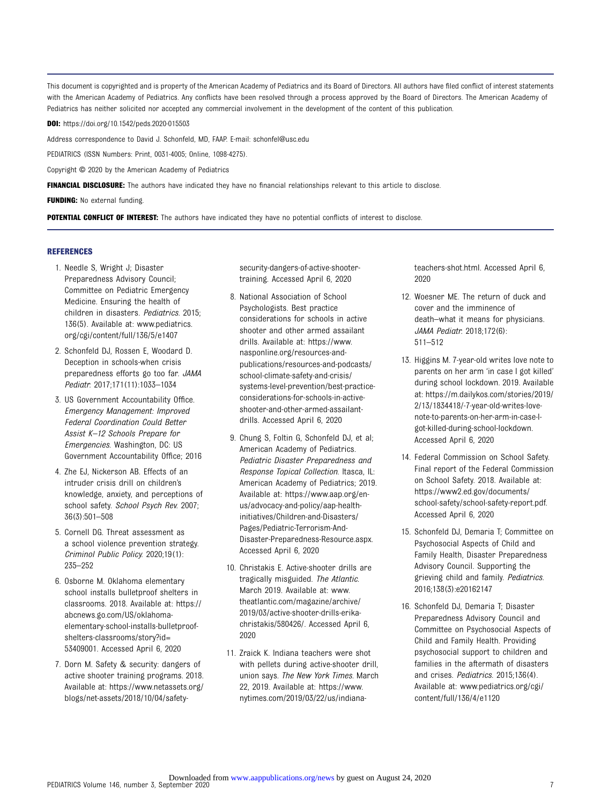<span id="page-6-0"></span>This document is copyrighted and is property of the American Academy of Pediatrics and its Board of Directors. All authors have filed conflict of interest statements with the American Academy of Pediatrics. Any conflicts have been resolved through a process approved by the Board of Directors. The American Academy of Pediatrics has neither solicited nor accepted any commercial involvement in the development of the content of this publication.

DOI: <https://doi.org/10.1542/peds.2020-015503>

Address correspondence to David J. Schonfeld, MD, FAAP. E-mail: [schonfel@usc.edu](mailto:schonfel@usc.edu)

PEDIATRICS (ISSN Numbers: Print, 0031-4005; Online, 1098-4275).

Copyright © 2020 by the American Academy of Pediatrics

FINANCIAL DISCLOSURE: The authors have indicated they have no financial relationships relevant to this article to disclose.

FUNDING: No external funding.

POTENTIAL CONFLICT OF INTEREST: The authors have indicated they have no potential conflicts of interest to disclose.

#### REFERENCES

- 1. Needle S, Wright J; Disaster Preparedness Advisory Council; Committee on Pediatric Emergency Medicine. Ensuring the health of children in disasters. Pediatrics. 2015; 136(5). Available at: www.pediatrics. org/cgi/content/full/136/5/e1407
- 2. Schonfeld DJ, Rossen E, Woodard D. Deception in school[s-when crisis](http://www.pediatrics.org/cgi/content/FUll/136/5/e1407) [preparedness efforts go too far.](http://www.pediatrics.org/cgi/content/FUll/136/5/e1407) JAMA Pediatr. 2017;171(11):1033–1034
- 3. US Government Accountability Office. Emergency Management: Improved Federal Coordination Could Better Assist K–12 Schools Prepare for Emergencies. Washington, DC: US Government Accountability Office; 2016
- 4. Zhe EJ, Nickerson AB. Effects of an intruder crisis drill on children's knowledge, anxiety, and perceptions of school safety. School Psych Rev. 2007; 36(3):501–508
- 5. Cornell DG. Threat assessment as a school violence prevention strategy. Criminol Public Policy. 2020;19(1): 235–252
- 6. Osborne M. Oklahoma elementary school installs bulletproof shelters in classrooms. 2018. Available at: https:// abcnews.go.com/US/oklahomaelementary-school-installs-bulletproofshelters-classrooms/story?id= [53409001. Accessed April 6, 2020](https://abcnews.go.com/US/oklahoma-elementary-school-installs-bulletproof-shelters-classrooms/story?id=53409001)
- 7. [Dorn M. Safety & security: dangers of](https://abcnews.go.com/US/oklahoma-elementary-school-installs-bulletproof-shelters-classrooms/story?id=53409001) [active shooter training progra](https://abcnews.go.com/US/oklahoma-elementary-school-installs-bulletproof-shelters-classrooms/story?id=53409001)ms. 2018. [Available](https://abcnews.go.com/US/oklahoma-elementary-school-installs-bulletproof-shelters-classrooms/story?id=53409001) at: https://www.netassets.org/ blogs/net-assets/2018/10/04/safety-

security-dangers-of-active-shootertraining. Accessed April 6, 2020

- 8. National Association of School [Psychologists.](https://www.netassets.org/blogs/net-assets/2018/10/04/safety-security-dangers-of-active-shooter-training) [Best](https://www.netassets.org/blogs/net-assets/2018/10/04/safety-security-dangers-of-active-shooter-training) [practice](https://www.netassets.org/blogs/net-assets/2018/10/04/safety-security-dangers-of-active-shooter-training) [consider](https://www.netassets.org/blogs/net-assets/2018/10/04/safety-security-dangers-of-active-shooter-training)ations for schools in active shooter and other armed assailant drills. Available at: https://www. nasponline.org/resources-andpublications/resources-and-podcasts/ school-climate-safe[ty-and-crisis/](https://www.nasponline.org/resources-and-publications/resources-and-podcasts/school-climate-safety-and-crisis/systems-level-prevention/best-practice-considerations-for-schools-in-active-shooter-and-other-armed-assailant-drills) [systems-level-prevention/best-p](https://www.nasponline.org/resources-and-publications/resources-and-podcasts/school-climate-safety-and-crisis/systems-level-prevention/best-practice-considerations-for-schools-in-active-shooter-and-other-armed-assailant-drills)ractice[considerations-for-schools-in-active](https://www.nasponline.org/resources-and-publications/resources-and-podcasts/school-climate-safety-and-crisis/systems-level-prevention/best-practice-considerations-for-schools-in-active-shooter-and-other-armed-assailant-drills)[shooter-and-other-armed-assaila](https://www.nasponline.org/resources-and-publications/resources-and-podcasts/school-climate-safety-and-crisis/systems-level-prevention/best-practice-considerations-for-schools-in-active-shooter-and-other-armed-assailant-drills)nt[drills. Accessed April 6, 2020](https://www.nasponline.org/resources-and-publications/resources-and-podcasts/school-climate-safety-and-crisis/systems-level-prevention/best-practice-considerations-for-schools-in-active-shooter-and-other-armed-assailant-drills)
- 9. [Chung](https://www.nasponline.org/resources-and-publications/resources-and-podcasts/school-climate-safety-and-crisis/systems-level-prevention/best-practice-considerations-for-schools-in-active-shooter-and-other-armed-assailant-drills) [S,](https://www.nasponline.org/resources-and-publications/resources-and-podcasts/school-climate-safety-and-crisis/systems-level-prevention/best-practice-considerations-for-schools-in-active-shooter-and-other-armed-assailant-drills) [Foltin](https://www.nasponline.org/resources-and-publications/resources-and-podcasts/school-climate-safety-and-crisis/systems-level-prevention/best-practice-considerations-for-schools-in-active-shooter-and-other-armed-assailant-drills) [G,](https://www.nasponline.org/resources-and-publications/resources-and-podcasts/school-climate-safety-and-crisis/systems-level-prevention/best-practice-considerations-for-schools-in-active-shooter-and-other-armed-assailant-drills) [Schonfeld](https://www.nasponline.org/resources-and-publications/resources-and-podcasts/school-climate-safety-and-crisis/systems-level-prevention/best-practice-considerations-for-schools-in-active-shooter-and-other-armed-assailant-drills) [DJ,](https://www.nasponline.org/resources-and-publications/resources-and-podcasts/school-climate-safety-and-crisis/systems-level-prevention/best-practice-considerations-for-schools-in-active-shooter-and-other-armed-assailant-drills) [et](https://www.nasponline.org/resources-and-publications/resources-and-podcasts/school-climate-safety-and-crisis/systems-level-prevention/best-practice-considerations-for-schools-in-active-shooter-and-other-armed-assailant-drills) [a](https://www.nasponline.org/resources-and-publications/resources-and-podcasts/school-climate-safety-and-crisis/systems-level-prevention/best-practice-considerations-for-schools-in-active-shooter-and-other-armed-assailant-drills)l; [American](https://www.nasponline.org/resources-and-publications/resources-and-podcasts/school-climate-safety-and-crisis/systems-level-prevention/best-practice-considerations-for-schools-in-active-shooter-and-other-armed-assailant-drills) [Academy](https://www.nasponline.org/resources-and-publications/resources-and-podcasts/school-climate-safety-and-crisis/systems-level-prevention/best-practice-considerations-for-schools-in-active-shooter-and-other-armed-assailant-drills) [of](https://www.nasponline.org/resources-and-publications/resources-and-podcasts/school-climate-safety-and-crisis/systems-level-prevention/best-practice-considerations-for-schools-in-active-shooter-and-other-armed-assailant-drills) [Pediatrics.](https://www.nasponline.org/resources-and-publications/resources-and-podcasts/school-climate-safety-and-crisis/systems-level-prevention/best-practice-considerations-for-schools-in-active-shooter-and-other-armed-assailant-drills) [Pedia](https://www.nasponline.org/resources-and-publications/resources-and-podcasts/school-climate-safety-and-crisis/systems-level-prevention/best-practice-considerations-for-schools-in-active-shooter-and-other-armed-assailant-drills)tric Disaster Preparedness and Response Topical Collection. Itasca, IL: American Academy of Pediatrics; 2019. Available at: https://www.aap.org/enus/advocacy-and-policy/aap-healthinitiatives/Children-and-Disasters/ Pages/Pediat[ric-Terrorism-And-](https://www.aap.org/en-us/advocacy-and-policy/aap-health-initiatives/Children-and-Disasters/Pages/Pediatric-Terrorism-And-Disaster-Preparedness-Resource.aspx)[Disaster-Preparedness-Resource.as](https://www.aap.org/en-us/advocacy-and-policy/aap-health-initiatives/Children-and-Disasters/Pages/Pediatric-Terrorism-And-Disaster-Preparedness-Resource.aspx)px. [Accessed April 6, 2020](https://www.aap.org/en-us/advocacy-and-policy/aap-health-initiatives/Children-and-Disasters/Pages/Pediatric-Terrorism-And-Disaster-Preparedness-Resource.aspx)
- 10. [Christakis](https://www.aap.org/en-us/advocacy-and-policy/aap-health-initiatives/Children-and-Disasters/Pages/Pediatric-Terrorism-And-Disaster-Preparedness-Resource.aspx) [E.](https://www.aap.org/en-us/advocacy-and-policy/aap-health-initiatives/Children-and-Disasters/Pages/Pediatric-Terrorism-And-Disaster-Preparedness-Resource.aspx) [Active-shooter](https://www.aap.org/en-us/advocacy-and-policy/aap-health-initiatives/Children-and-Disasters/Pages/Pediatric-Terrorism-And-Disaster-Preparedness-Resource.aspx) [dri](https://www.aap.org/en-us/advocacy-and-policy/aap-health-initiatives/Children-and-Disasters/Pages/Pediatric-Terrorism-And-Disaster-Preparedness-Resource.aspx)lls are [tragically](https://www.aap.org/en-us/advocacy-and-policy/aap-health-initiatives/Children-and-Disasters/Pages/Pediatric-Terrorism-And-Disaster-Preparedness-Resource.aspx) [misguided.](https://www.aap.org/en-us/advocacy-and-policy/aap-health-initiatives/Children-and-Disasters/Pages/Pediatric-Terrorism-And-Disaster-Preparedness-Resource.aspx) The Atlantic. March 2019. Available at: www. theatlantic.com/magazine/archive/ 2019/03/active-shooter-drills-erikachristakis/580426/. Acces[sed Ap](http://www.theatlantic.com/magazine/archive/2019/03/active-shooter-drills-erika-christakis/580426/)ril 6, [2020](http://www.theatlantic.com/magazine/archive/2019/03/active-shooter-drills-erika-christakis/580426/)
- 11. [Zraick](http://www.theatlantic.com/magazine/archive/2019/03/active-shooter-drills-erika-christakis/580426/) [K.](http://www.theatlantic.com/magazine/archive/2019/03/active-shooter-drills-erika-christakis/580426/) [Indiana](http://www.theatlantic.com/magazine/archive/2019/03/active-shooter-drills-erika-christakis/580426/) [teachers](http://www.theatlantic.com/magazine/archive/2019/03/active-shooter-drills-erika-christakis/580426/) [were](http://www.theatlantic.com/magazine/archive/2019/03/active-shooter-drills-erika-christakis/580426/) [sh](http://www.theatlantic.com/magazine/archive/2019/03/active-shooter-drills-erika-christakis/580426/)ot [with](http://www.theatlantic.com/magazine/archive/2019/03/active-shooter-drills-erika-christakis/580426/) [pellets](http://www.theatlantic.com/magazine/archive/2019/03/active-shooter-drills-erika-christakis/580426/) [during](http://www.theatlantic.com/magazine/archive/2019/03/active-shooter-drills-erika-christakis/580426/) active-shooter drill, union says. The New York Times. March 22, 2019. Available at: https://www. nytimes.com/2019/03/22/us/indiana-

teachers-shot.html. Accessed April 6, 2020

- 12. Woesner ME. The return of duck and [cover](https://www.nytimes.com/2019/03/22/us/indiana-teachers-shot.html) [and](https://www.nytimes.com/2019/03/22/us/indiana-teachers-shot.html) [the](https://www.nytimes.com/2019/03/22/us/indiana-teachers-shot.html) [imm](https://www.nytimes.com/2019/03/22/us/indiana-teachers-shot.html)inence of death–what it means for physicians. JAMA Pediatr. 2018;172(6): 511–512
- 13. Higgins M. 7-year-old writes love note to parents on her arm 'in case I got killed' during school lockdown. 2019. Available at: https://m.dailykos.com/stories/2019/ 2/13/1834418/-7-year-old-writes-lovenote-to-parents-on-her-arm-in-case-Igo[t-killed-during-school-lockdown.](https://m.dailykos.com/stories/2019/2/13/1834418/-7-year-old-writes-love-note-to-parents-on-her-arm-in-case-I-got-killed-during-school-lockdown) [Accessed April 6, 2020](https://m.dailykos.com/stories/2019/2/13/1834418/-7-year-old-writes-love-note-to-parents-on-her-arm-in-case-I-got-killed-during-school-lockdown)
- 14. [Federal](https://m.dailykos.com/stories/2019/2/13/1834418/-7-year-old-writes-love-note-to-parents-on-her-arm-in-case-I-got-killed-during-school-lockdown) [Commission](https://m.dailykos.com/stories/2019/2/13/1834418/-7-year-old-writes-love-note-to-parents-on-her-arm-in-case-I-got-killed-during-school-lockdown) [on](https://m.dailykos.com/stories/2019/2/13/1834418/-7-year-old-writes-love-note-to-parents-on-her-arm-in-case-I-got-killed-during-school-lockdown) [School](https://m.dailykos.com/stories/2019/2/13/1834418/-7-year-old-writes-love-note-to-parents-on-her-arm-in-case-I-got-killed-during-school-lockdown) [Safet](https://m.dailykos.com/stories/2019/2/13/1834418/-7-year-old-writes-love-note-to-parents-on-her-arm-in-case-I-got-killed-during-school-lockdown)y. [Final](https://m.dailykos.com/stories/2019/2/13/1834418/-7-year-old-writes-love-note-to-parents-on-her-arm-in-case-I-got-killed-during-school-lockdown) [report](https://m.dailykos.com/stories/2019/2/13/1834418/-7-year-old-writes-love-note-to-parents-on-her-arm-in-case-I-got-killed-during-school-lockdown) [of](https://m.dailykos.com/stories/2019/2/13/1834418/-7-year-old-writes-love-note-to-parents-on-her-arm-in-case-I-got-killed-during-school-lockdown) [the](https://m.dailykos.com/stories/2019/2/13/1834418/-7-year-old-writes-love-note-to-parents-on-her-arm-in-case-I-got-killed-during-school-lockdown) [Federal](https://m.dailykos.com/stories/2019/2/13/1834418/-7-year-old-writes-love-note-to-parents-on-her-arm-in-case-I-got-killed-during-school-lockdown) [Comm](https://m.dailykos.com/stories/2019/2/13/1834418/-7-year-old-writes-love-note-to-parents-on-her-arm-in-case-I-got-killed-during-school-lockdown)ission on School Safety. 2018. Available at: https://www2.ed.gov/documents/ school-safety/school-safety-report.pdf. Accessed April 6, 2020
- 15. [Schonfeld](https://www2.ed.gov/documents/school-safety/school-safety-report.pdf) [DJ,](https://www2.ed.gov/documents/school-safety/school-safety-report.pdf) [Demaria](https://www2.ed.gov/documents/school-safety/school-safety-report.pdf) [T;](https://www2.ed.gov/documents/school-safety/school-safety-report.pdf) [Commit](https://www2.ed.gov/documents/school-safety/school-safety-report.pdf)tee on [Psychosocial](https://www2.ed.gov/documents/school-safety/school-safety-report.pdf) [Aspects](https://www2.ed.gov/documents/school-safety/school-safety-report.pdf) [of](https://www2.ed.gov/documents/school-safety/school-safety-report.pdf) [Child](https://www2.ed.gov/documents/school-safety/school-safety-report.pdf) [and](https://www2.ed.gov/documents/school-safety/school-safety-report.pdf) Family Health, Disaster Preparedness Advisory Council. Supporting the grieving child and family. Pediatrics. 2016;138(3):e20162147
- 16. Schonfeld DJ, Demaria T; Disaster Preparedness Advisory Council and Committee on Psychosocial Aspects of Child and Family Health. Providing psychosocial support to children and families in the aftermath of disasters and crises. Pediatrics. 2015;136(4). Available at: www.pediatrics.org/cgi/ content/full/136/4/e1120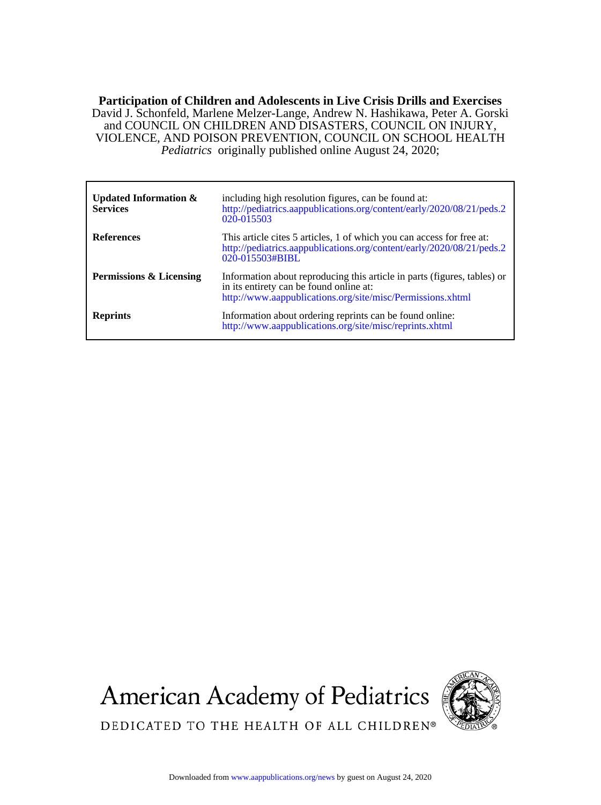*Pediatrics* originally published online August 24, 2020; VIOLENCE, AND POISON PREVENTION, COUNCIL ON SCHOOL HEALTH and COUNCIL ON CHILDREN AND DISASTERS, COUNCIL ON INJURY, David J. Schonfeld, Marlene Melzer-Lange, Andrew N. Hashikawa, Peter A. Gorski **Participation of Children and Adolescents in Live Crisis Drills and Exercises**

| Updated Information $\&$<br><b>Services</b> | including high resolution figures, can be found at:<br>http://pediatrics.aappublications.org/content/early/2020/08/21/peds.2<br>020-015503                                        |
|---------------------------------------------|-----------------------------------------------------------------------------------------------------------------------------------------------------------------------------------|
| <b>References</b>                           | This article cites 5 articles, 1 of which you can access for free at:<br>http://pediatrics.aappublications.org/content/early/2020/08/21/peds.2<br>020-015503#BIBL                 |
| Permissions & Licensing                     | Information about reproducing this article in parts (figures, tables) or<br>in its entirety can be found online at:<br>http://www.aappublications.org/site/misc/Permissions.xhtml |
| <b>Reprints</b>                             | Information about ordering reprints can be found online:<br>http://www.aappublications.org/site/misc/reprints.xhtml                                                               |





DEDICATED TO THE HEALTH OF ALL CHILDREN®